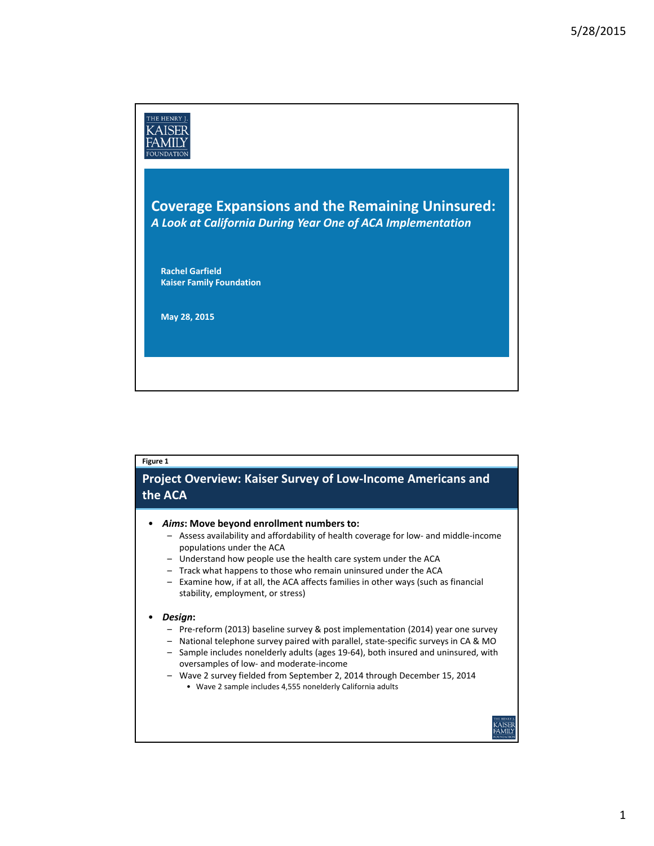

# **Figure 1**

### **Project Overview: Kaiser Survey of Low‐Income Americans and the ACA**

- *Aims***: Move beyond enrollment numbers to:**
	- Assess availability and affordability of health coverage for low‐ and middle‐income populations under the ACA
	- Understand how people use the health care system under the ACA
	- Track what happens to those who remain uninsured under the ACA
	- Examine how, if at all, the ACA affects families in other ways (such as financial stability, employment, or stress)

#### • *Design***:**

- Pre‐reform (2013) baseline survey & post implementation (2014) year one survey
- National telephone survey paired with parallel, state‐specific surveys in CA & MO
- Sample includes nonelderly adults (ages 19‐64), both insured and uninsured, with oversamples of low‐ and moderate‐income
- Wave 2 survey fielded from September 2, 2014 through December 15, 2014
	- Wave 2 sample includes 4,555 nonelderly California adults

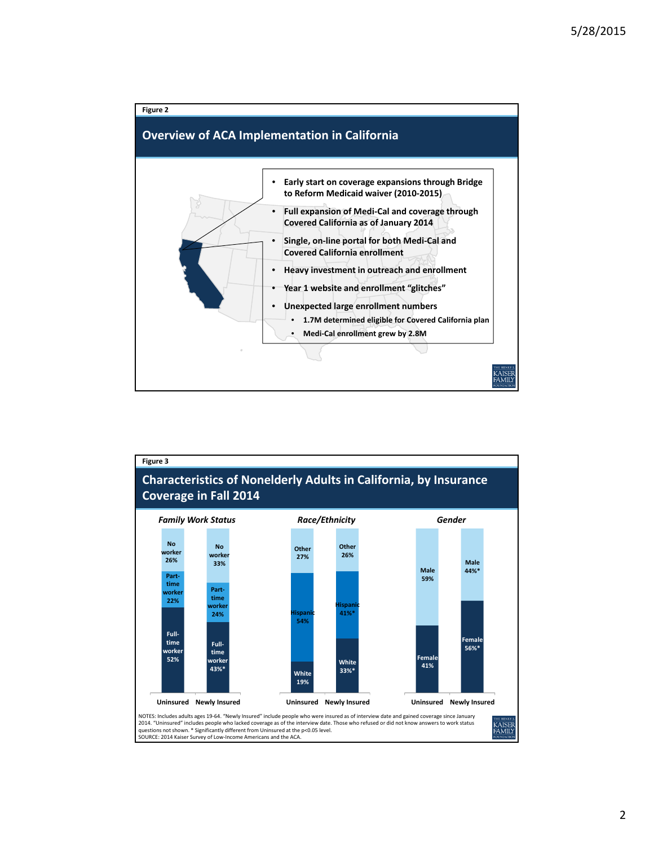

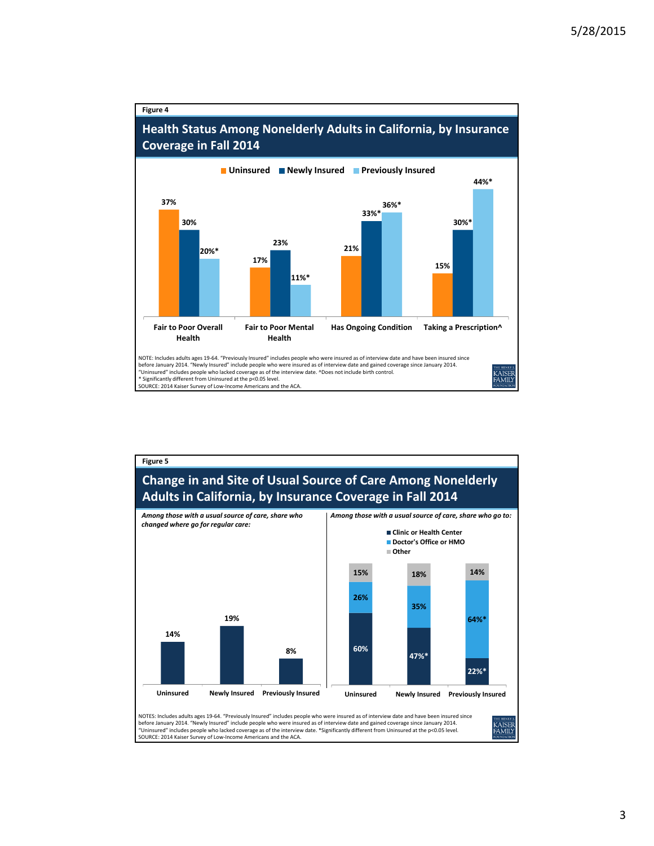#### **Figure 4**

## **Health Status Among Nonelderly Adults in California, by Insurance Coverage in Fall 2014**





before January 2014. "Newly Insured" include people who were insured as of interview date and gained coverage since January 2014. "Uninsured" includes people who lacked coverage as of the interview date. \*Significantly different from Uninsured at the p<0.05 level. SOURCE: 2014 Kaiser Survey of Low‐Income Americans and the ACA.

3

**AISER**<br>AMILY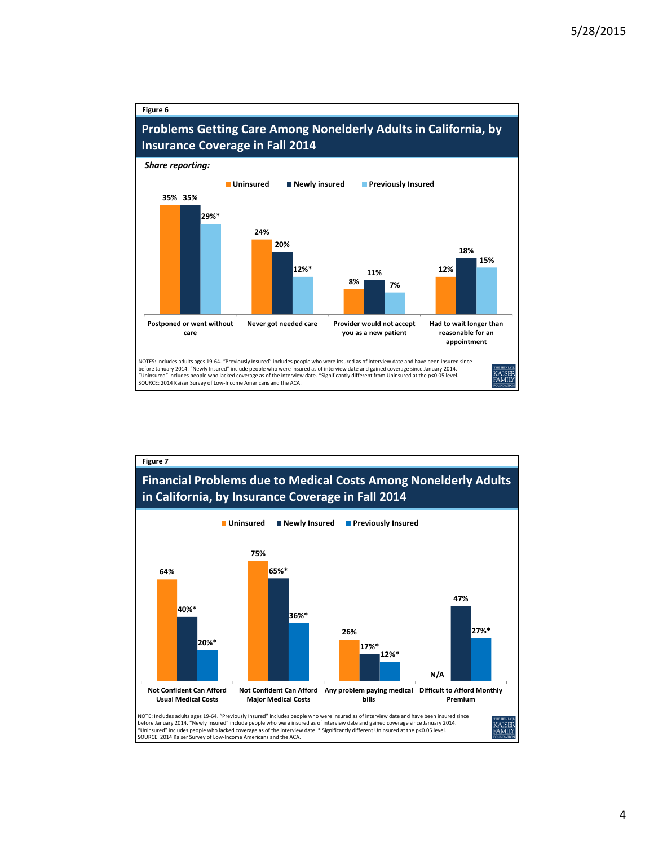